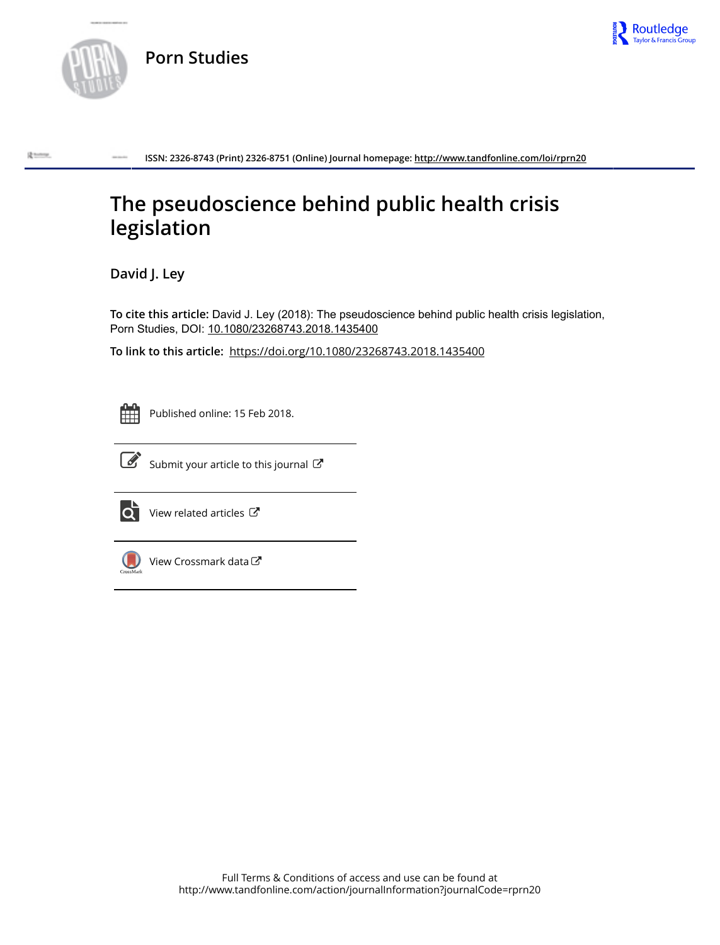



**ISSN: 2326-8743 (Print) 2326-8751 (Online) Journal homepage:<http://www.tandfonline.com/loi/rprn20>**

# **The pseudoscience behind public health crisis legislation**

**David J. Ley**

**To cite this article:** David J. Ley (2018): The pseudoscience behind public health crisis legislation, Porn Studies, DOI: [10.1080/23268743.2018.1435400](http://www.tandfonline.com/action/showCitFormats?doi=10.1080/23268743.2018.1435400)

**To link to this article:** <https://doi.org/10.1080/23268743.2018.1435400>



Published online: 15 Feb 2018.



 $\overrightarrow{S}$  [Submit your article to this journal](http://www.tandfonline.com/action/authorSubmission?journalCode=rprn20&show=instructions)  $\overrightarrow{S}$ 



 $\overrightarrow{Q}$  [View related articles](http://www.tandfonline.com/doi/mlt/10.1080/23268743.2018.1435400)  $\overrightarrow{C}$ 



 $\bigcirc$  [View Crossmark data](http://crossmark.crossref.org/dialog/?doi=10.1080/23268743.2018.1435400&domain=pdf&date_stamp=2018-02-15)  $\mathbb{Z}$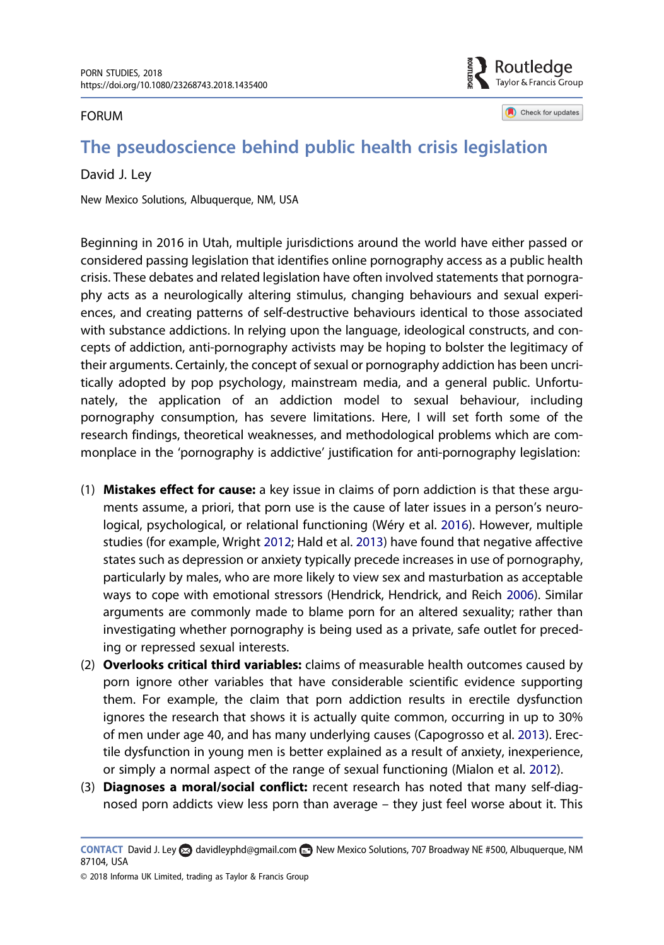#### <span id="page-1-0"></span>FORUM

Routledae Taylor & Francis Group

Check for updates

# The pseudoscience behind public health crisis legislation

#### David J. Ley

New Mexico Solutions, Albuquerque, NM, USA

Beginning in 2016 in Utah, multiple jurisdictions around the world have either passed or considered passing legislation that identifies online pornography access as a public health crisis. These debates and related legislation have often involved statements that pornography acts as a neurologically altering stimulus, changing behaviours and sexual experiences, and creating patterns of self-destructive behaviours identical to those associated with substance addictions. In relying upon the language, ideological constructs, and concepts of addiction, anti-pornography activists may be hoping to bolster the legitimacy of their arguments. Certainly, the concept of sexual or pornography addiction has been uncritically adopted by pop psychology, mainstream media, and a general public. Unfortunately, the application of an addiction model to sexual behaviour, including pornography consumption, has severe limitations. Here, I will set forth some of the research findings, theoretical weaknesses, and methodological problems which are commonplace in the 'pornography is addictive' justification for anti-pornography legislation:

- (1) Mistakes effect for cause: a key issue in claims of porn addiction is that these arguments assume, a priori, that porn use is the cause of later issues in a person's neurological, psychological, or relational functioning (Wéry et al. [2016](#page-5-0)). However, multiple studies (for example, Wright [2012;](#page-5-0) Hald et al. [2013\)](#page-4-0) have found that negative affective states such as depression or anxiety typically precede increases in use of pornography, particularly by males, who are more likely to view sex and masturbation as acceptable ways to cope with emotional stressors (Hendrick, Hendrick, and Reich [2006\)](#page-5-0). Similar arguments are commonly made to blame porn for an altered sexuality; rather than investigating whether pornography is being used as a private, safe outlet for preceding or repressed sexual interests.
- (2) Overlooks critical third variables: claims of measurable health outcomes caused by porn ignore other variables that have considerable scientific evidence supporting them. For example, the claim that porn addiction results in erectile dysfunction ignores the research that shows it is actually quite common, occurring in up to 30% of men under age 40, and has many underlying causes (Capogrosso et al. [2013](#page-4-0)). Erectile dysfunction in young men is better explained as a result of anxiety, inexperience, or simply a normal aspect of the range of sexual functioning (Mialon et al. [2012\)](#page-5-0).
- (3) Diagnoses a moral/social conflict: recent research has noted that many self-diagnosed porn addicts view less porn than average – they just feel worse about it. This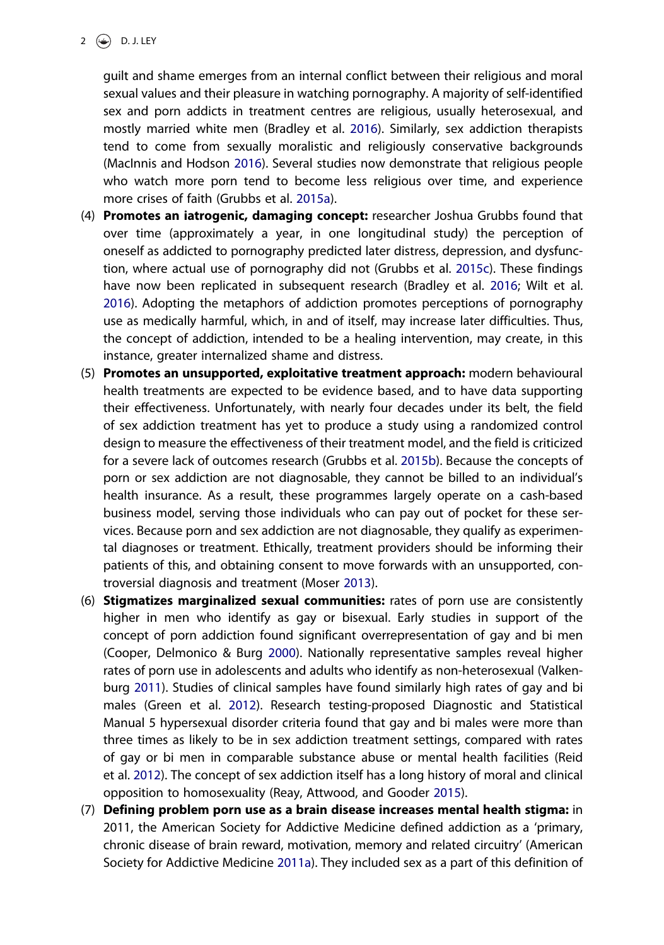<span id="page-2-0"></span>2  $\bigodot$  D. J. LEY

guilt and shame emerges from an internal conflict between their religious and moral sexual values and their pleasure in watching pornography. A majority of self-identified sex and porn addicts in treatment centres are religious, usually heterosexual, and mostly married white men (Bradley et al. [2016\)](#page-4-0). Similarly, sex addiction therapists tend to come from sexually moralistic and religiously conservative backgrounds (MacInnis and Hodson [2016\)](#page-5-0). Several studies now demonstrate that religious people who watch more porn tend to become less religious over time, and experience more crises of faith (Grubbs et al. [2015a](#page-4-0)).

- (4) Promotes an iatrogenic, damaging concept: researcher Joshua Grubbs found that over time (approximately a year, in one longitudinal study) the perception of oneself as addicted to pornography predicted later distress, depression, and dysfunction, where actual use of pornography did not (Grubbs et al. [2015c\)](#page-4-0). These findings have now been replicated in subsequent research (Bradley et al. [2016;](#page-4-0) Wilt et al. [2016](#page-5-0)). Adopting the metaphors of addiction promotes perceptions of pornography use as medically harmful, which, in and of itself, may increase later difficulties. Thus, the concept of addiction, intended to be a healing intervention, may create, in this instance, greater internalized shame and distress.
- (5) Promotes an unsupported, exploitative treatment approach: modern behavioural health treatments are expected to be evidence based, and to have data supporting their effectiveness. Unfortunately, with nearly four decades under its belt, the field of sex addiction treatment has yet to produce a study using a randomized control design to measure the effectiveness of their treatment model, and the field is criticized for a severe lack of outcomes research (Grubbs et al. [2015b](#page-4-0)). Because the concepts of porn or sex addiction are not diagnosable, they cannot be billed to an individual's health insurance. As a result, these programmes largely operate on a cash-based business model, serving those individuals who can pay out of pocket for these services. Because porn and sex addiction are not diagnosable, they qualify as experimental diagnoses or treatment. Ethically, treatment providers should be informing their patients of this, and obtaining consent to move forwards with an unsupported, controversial diagnosis and treatment (Moser [2013\)](#page-5-0).
- (6) Stigmatizes marginalized sexual communities: rates of porn use are consistently higher in men who identify as gay or bisexual. Early studies in support of the concept of porn addiction found significant overrepresentation of gay and bi men (Cooper, Delmonico & Burg [2000\)](#page-4-0). Nationally representative samples reveal higher rates of porn use in adolescents and adults who identify as non-heterosexual (Valkenburg [2011](#page-5-0)). Studies of clinical samples have found similarly high rates of gay and bi males (Green et al. [2012](#page-4-0)). Research testing-proposed Diagnostic and Statistical Manual 5 hypersexual disorder criteria found that gay and bi males were more than three times as likely to be in sex addiction treatment settings, compared with rates of gay or bi men in comparable substance abuse or mental health facilities (Reid et al. [2012\)](#page-5-0). The concept of sex addiction itself has a long history of moral and clinical opposition to homosexuality (Reay, Attwood, and Gooder [2015\)](#page-5-0).
- (7) Defining problem porn use as a brain disease increases mental health stigma: in 2011, the American Society for Addictive Medicine defined addiction as a 'primary, chronic disease of brain reward, motivation, memory and related circuitry' (American Society for Addictive Medicine [2011a](#page-4-0)). They included sex as a part of this definition of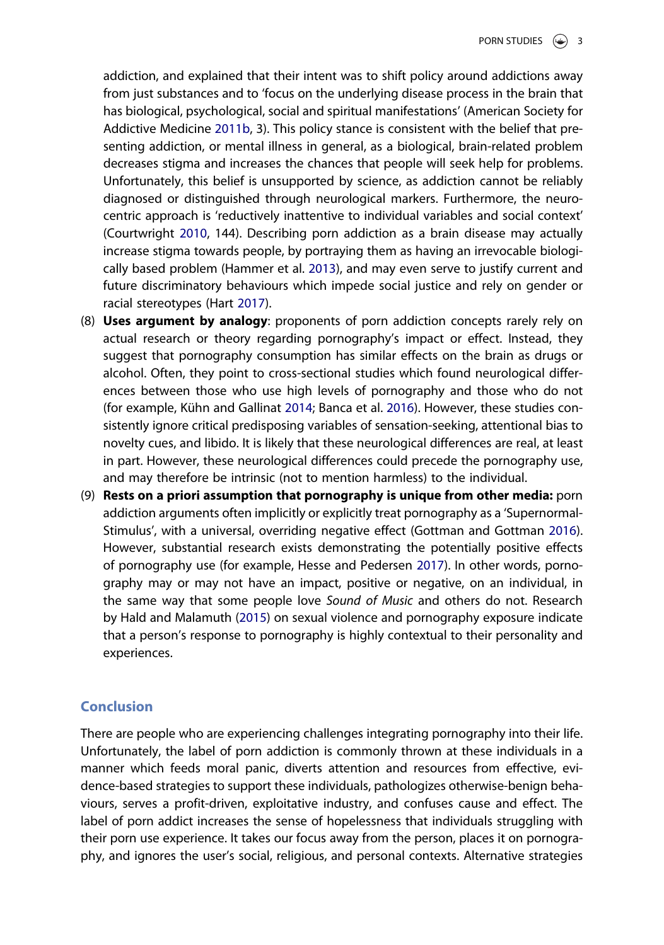<span id="page-3-0"></span>addiction, and explained that their intent was to shift policy around addictions away from just substances and to 'focus on the underlying disease process in the brain that has biological, psychological, social and spiritual manifestations' (American Society for Addictive Medicine [2011b,](#page-4-0) 3). This policy stance is consistent with the belief that presenting addiction, or mental illness in general, as a biological, brain-related problem decreases stigma and increases the chances that people will seek help for problems. Unfortunately, this belief is unsupported by science, as addiction cannot be reliably diagnosed or distinguished through neurological markers. Furthermore, the neurocentric approach is 'reductively inattentive to individual variables and social context' (Courtwright [2010,](#page-4-0) 144). Describing porn addiction as a brain disease may actually increase stigma towards people, by portraying them as having an irrevocable biologically based problem (Hammer et al. [2013\)](#page-5-0), and may even serve to justify current and future discriminatory behaviours which impede social justice and rely on gender or racial stereotypes (Hart [2017\)](#page-5-0).

- (8) Uses argument by analogy: proponents of porn addiction concepts rarely rely on actual research or theory regarding pornography's impact or effect. Instead, they suggest that pornography consumption has similar effects on the brain as drugs or alcohol. Often, they point to cross-sectional studies which found neurological differences between those who use high levels of pornography and those who do not (for example, Kühn and Gallinat [2014](#page-5-0); Banca et al. [2016\)](#page-4-0). However, these studies consistently ignore critical predisposing variables of sensation-seeking, attentional bias to novelty cues, and libido. It is likely that these neurological differences are real, at least in part. However, these neurological differences could precede the pornography use, and may therefore be intrinsic (not to mention harmless) to the individual.
- (9) Rests on a priori assumption that pornography is unique from other media: porn addiction arguments often implicitly or explicitly treat pornography as a 'Supernormal-Stimulus', with a universal, overriding negative effect (Gottman and Gottman [2016](#page-4-0)). However, substantial research exists demonstrating the potentially positive effects of pornography use (for example, Hesse and Pedersen [2017](#page-5-0)). In other words, pornography may or may not have an impact, positive or negative, on an individual, in the same way that some people love Sound of Music and others do not. Research by Hald and Malamuth ([2015](#page-5-0)) on sexual violence and pornography exposure indicate that a person's response to pornography is highly contextual to their personality and experiences.

## **Conclusion**

There are people who are experiencing challenges integrating pornography into their life. Unfortunately, the label of porn addiction is commonly thrown at these individuals in a manner which feeds moral panic, diverts attention and resources from effective, evidence-based strategies to support these individuals, pathologizes otherwise-benign behaviours, serves a profit-driven, exploitative industry, and confuses cause and effect. The label of porn addict increases the sense of hopelessness that individuals struggling with their porn use experience. It takes our focus away from the person, places it on pornography, and ignores the user's social, religious, and personal contexts. Alternative strategies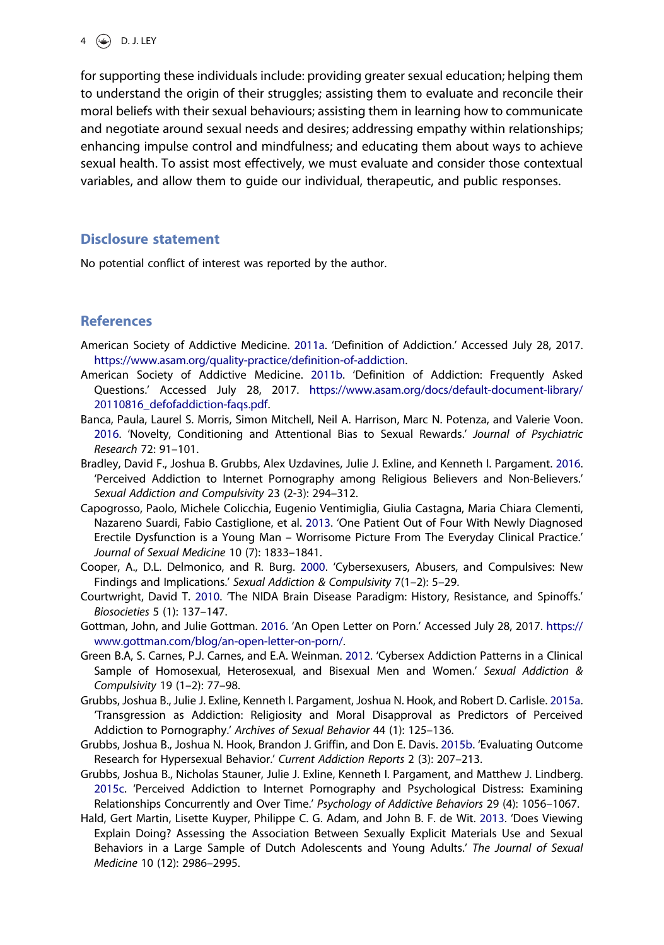<span id="page-4-0"></span>for supporting these individuals include: providing greater sexual education; helping them to understand the origin of their struggles; assisting them to evaluate and reconcile their moral beliefs with their sexual behaviours; assisting them in learning how to communicate and negotiate around sexual needs and desires; addressing empathy within relationships; enhancing impulse control and mindfulness; and educating them about ways to achieve sexual health. To assist most effectively, we must evaluate and consider those contextual variables, and allow them to guide our individual, therapeutic, and public responses.

#### Disclosure statement

No potential conflict of interest was reported by the author.

### **References**

- American Society of Addictive Medicine. [2011a](#page-2-0). 'Definition of Addiction.' Accessed July 28, 2017. <https://www.asam.org/quality-practice/definition-of-addiction>.
- American Society of Addictive Medicine. [2011b.](#page-3-0) 'Definition of Addiction: Frequently Asked Questions.' Accessed July 28, 2017. [https://www.asam.org/docs/default-document-library/](https://www.asam.org/docs/default-document-library/20110816_defofaddiction-faqs.pdf) [20110816\\_defofaddiction-faqs.pdf.](https://www.asam.org/docs/default-document-library/20110816_defofaddiction-faqs.pdf)
- Banca, Paula, Laurel S. Morris, Simon Mitchell, Neil A. Harrison, Marc N. Potenza, and Valerie Voon. [2016](#page-3-0). 'Novelty, Conditioning and Attentional Bias to Sexual Rewards.' Journal of Psychiatric Research 72: 91–101.
- Bradley, David F., Joshua B. Grubbs, Alex Uzdavines, Julie J. Exline, and Kenneth I. Pargament. [2016](#page-2-0). 'Perceived Addiction to Internet Pornography among Religious Believers and Non-Believers.' Sexual Addiction and Compulsivity 23 (2-3): 294–312.
- Capogrosso, Paolo, Michele Colicchia, Eugenio Ventimiglia, Giulia Castagna, Maria Chiara Clementi, Nazareno Suardi, Fabio Castiglione, et al. [2013.](#page-1-0) 'One Patient Out of Four With Newly Diagnosed Erectile Dysfunction is a Young Man – Worrisome Picture From The Everyday Clinical Practice.' Journal of Sexual Medicine 10 (7): 1833–1841.
- Cooper, A., D.L. Delmonico, and R. Burg. [2000.](#page-2-0) 'Cybersexusers, Abusers, and Compulsives: New Findings and Implications.' Sexual Addiction & Compulsivity 7(1–2): 5–29.
- Courtwright, David T. [2010](#page-3-0). 'The NIDA Brain Disease Paradigm: History, Resistance, and Spinoffs.' Biosocieties 5 (1): 137–147.
- Gottman, John, and Julie Gottman. [2016](#page-3-0). 'An Open Letter on Porn.' Accessed July 28, 2017. [https://](https://www.gottman.com/blog/an-open-letter-on-porn/) [www.gottman.com/blog/an-open-letter-on-porn/.](https://www.gottman.com/blog/an-open-letter-on-porn/)
- Green B.A, S. Carnes, P.J. Carnes, and E.A. Weinman. [2012](#page-2-0). 'Cybersex Addiction Patterns in a Clinical Sample of Homosexual, Heterosexual, and Bisexual Men and Women.' Sexual Addiction & Compulsivity 19 (1–2): 77–98.
- Grubbs, Joshua B., Julie J. Exline, Kenneth I. Pargament, Joshua N. Hook, and Robert D. Carlisle. [2015a](#page-2-0). 'Transgression as Addiction: Religiosity and Moral Disapproval as Predictors of Perceived Addiction to Pornography.' Archives of Sexual Behavior 44 (1): 125–136.
- Grubbs, Joshua B., Joshua N. Hook, Brandon J. Griffin, and Don E. Davis. [2015b](#page-2-0). 'Evaluating Outcome Research for Hypersexual Behavior.' Current Addiction Reports 2 (3): 207–213.
- Grubbs, Joshua B., Nicholas Stauner, Julie J. Exline, Kenneth I. Pargament, and Matthew J. Lindberg. [2015c](#page-2-0). 'Perceived Addiction to Internet Pornography and Psychological Distress: Examining Relationships Concurrently and Over Time.' Psychology of Addictive Behaviors 29 (4): 1056-1067.
- Hald, Gert Martin, Lisette Kuyper, Philippe C. G. Adam, and John B. F. de Wit. [2013.](#page-1-0) 'Does Viewing Explain Doing? Assessing the Association Between Sexually Explicit Materials Use and Sexual Behaviors in a Large Sample of Dutch Adolescents and Young Adults.' The Journal of Sexual Medicine 10 (12): 2986–2995.